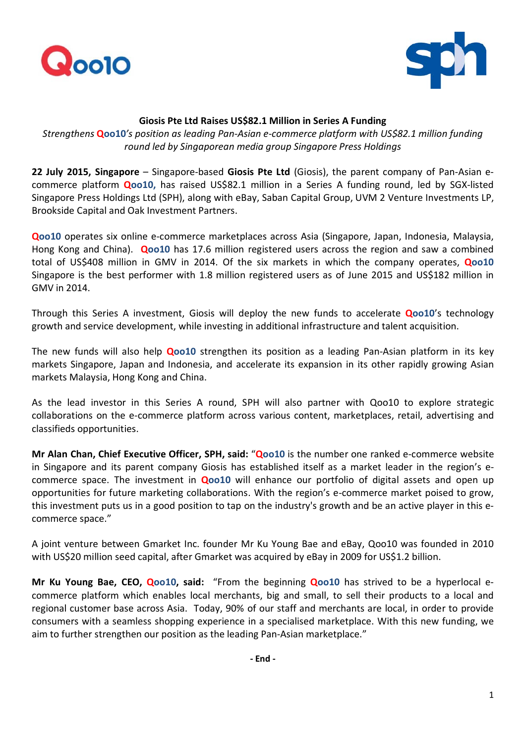



## **Giosis Pte Ltd Raises US\$82.1 Million in Series A Funding**

*Strengthens* **Qoo10***'s position as leading Pan-Asian e-commerce platform with US\$82.1 million funding round led by Singaporean media group Singapore Press Holdings*

**22 July 2015, Singapore** – Singapore-based **Giosis Pte Ltd** (Giosis), the parent company of Pan-Asian ecommerce platform **Qoo10,** has raised US\$82.1 million in a Series A funding round, led by SGX-listed Singapore Press Holdings Ltd (SPH), along with eBay, Saban Capital Group, UVM 2 Venture Investments LP, Brookside Capital and Oak Investment Partners.

**Qoo10** operates six online e-commerce marketplaces across Asia (Singapore, Japan, Indonesia, Malaysia, Hong Kong and China). **Qoo10** has 17.6 million registered users across the region and saw a combined total of US\$408 million in GMV in 2014. Of the six markets in which the company operates, **Qoo10**  Singapore is the best performer with 1.8 million registered users as of June 2015 and US\$182 million in GMV in 2014.

Through this Series A investment, Giosis will deploy the new funds to accelerate **Qoo10**'s technology growth and service development, while investing in additional infrastructure and talent acquisition.

The new funds will also help **Qoo10** strengthen its position as a leading Pan-Asian platform in its key markets Singapore, Japan and Indonesia, and accelerate its expansion in its other rapidly growing Asian markets Malaysia, Hong Kong and China.

As the lead investor in this Series A round, SPH will also partner with Qoo10 to explore strategic collaborations on the e-commerce platform across various content, marketplaces, retail, advertising and classifieds opportunities.

**Mr Alan Chan, Chief Executive Officer, SPH, said:** "**Qoo10** is the number one ranked e-commerce website in Singapore and its parent company Giosis has established itself as a market leader in the region's ecommerce space. The investment in **Qoo10** will enhance our portfolio of digital assets and open up opportunities for future marketing collaborations. With the region's e-commerce market poised to grow, this investment puts us in a good position to tap on the industry's growth and be an active player in this ecommerce space."

A joint venture between Gmarket Inc. founder Mr Ku Young Bae and eBay, Qoo10 was founded in 2010 with US\$20 million seed capital, after Gmarket was acquired by eBay in 2009 for US\$1.2 billion.

**Mr Ku Young Bae, CEO, Qoo10, said:** "From the beginning **Qoo10** has strived to be a hyperlocal ecommerce platform which enables local merchants, big and small, to sell their products to a local and regional customer base across Asia. Today, 90% of our staff and merchants are local, in order to provide consumers with a seamless shopping experience in a specialised marketplace. With this new funding, we aim to further strengthen our position as the leading Pan-Asian marketplace."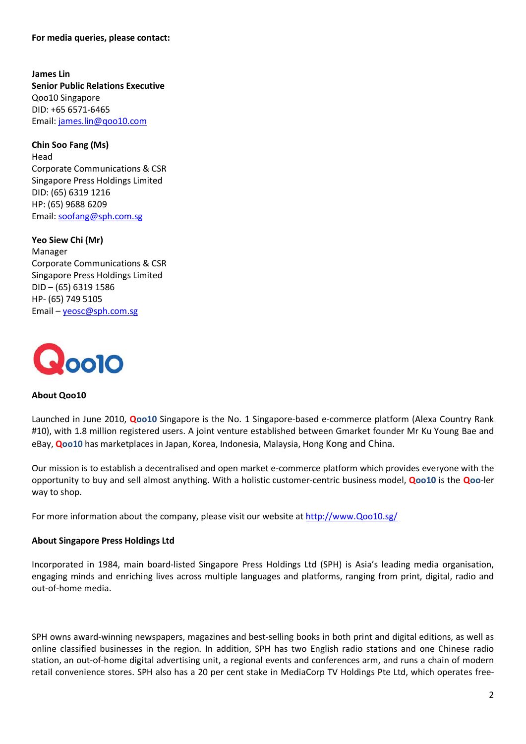**For media queries, please contact:**

**James Lin Senior Public Relations Executive** Qoo10 Singapore DID: +65 6571-6465 Email: [james.lin@qoo10.com](mailto:james.lin@qoo10.com)

**Chin Soo Fang (Ms)** Head Corporate Communications & CSR Singapore Press Holdings Limited DID: (65) 6319 1216 HP: (65) 9688 6209 Email: [soofang@sph.com.sg](mailto:soofang@sph.com.sg)

**Yeo Siew Chi (Mr)**  Manager Corporate Communications & CSR Singapore Press Holdings Limited DID – (65) 6319 1586 HP- (65) 749 5105 Email – [yeosc@sph.com.sg](mailto:yeosc@sph.com.sg)



## **About Qoo10**

Launched in June 2010, **Qoo10** Singapore is the No. 1 Singapore-based e-commerce platform (Alexa Country Rank #10), with 1.8 million registered users. A joint venture established between Gmarket founder Mr Ku Young Bae and eBay, **Qoo10** has marketplaces in Japan, Korea, Indonesia, Malaysia, Hong Kong and China.

Our mission is to establish a decentralised and open market e-commerce platform which provides everyone with the opportunity to buy and sell almost anything. With a holistic customer-centric business model, **Qoo10** is the **Qoo**-ler way to shop.

For more information about the company, please visit our website at [http://www.Qoo10.sg/](http://www.qoo10.sg/) 

## **About Singapore Press Holdings Ltd**

Incorporated in 1984, main board-listed Singapore Press Holdings Ltd (SPH) is Asia's leading media organisation, engaging minds and enriching lives across multiple languages and platforms, ranging from print, digital, radio and out-of-home media.

SPH owns award-winning newspapers, magazines and best-selling books in both print and digital editions, as well as online classified businesses in the region. In addition, SPH has two English radio stations and one Chinese radio station, an out-of-home digital advertising unit, a regional events and conferences arm, and runs a chain of modern retail convenience stores. SPH also has a 20 per cent stake in MediaCorp TV Holdings Pte Ltd, which operates free